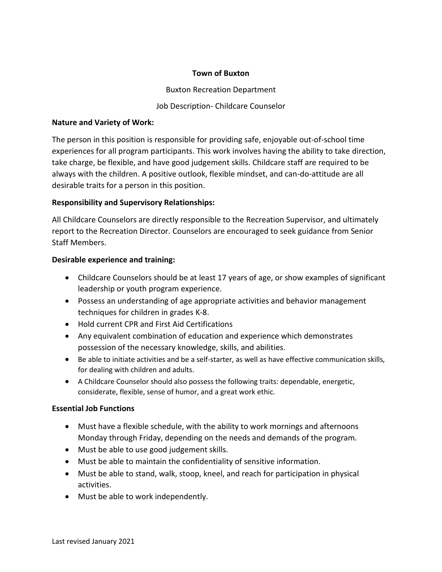#### **Town of Buxton**

Buxton Recreation Department

## Job Description- Childcare Counselor

#### **Nature and Variety of Work:**

The person in this position is responsible for providing safe, enjoyable out-of-school time experiences for all program participants. This work involves having the ability to take direction, take charge, be flexible, and have good judgement skills. Childcare staff are required to be always with the children. A positive outlook, flexible mindset, and can-do-attitude are all desirable traits for a person in this position.

## **Responsibility and Supervisory Relationships:**

All Childcare Counselors are directly responsible to the Recreation Supervisor, and ultimately report to the Recreation Director. Counselors are encouraged to seek guidance from Senior Staff Members.

## **Desirable experience and training:**

- Childcare Counselors should be at least 17 years of age, or show examples of significant leadership or youth program experience.
- Possess an understanding of age appropriate activities and behavior management techniques for children in grades K-8.
- Hold current CPR and First Aid Certifications
- Any equivalent combination of education and experience which demonstrates possession of the necessary knowledge, skills, and abilities.
- Be able to initiate activities and be a self-starter, as well as have effective communication skills, for dealing with children and adults.
- A Childcare Counselor should also possess the following traits: dependable, energetic, considerate, flexible, sense of humor, and a great work ethic.

# **Essential Job Functions**

- Must have a flexible schedule, with the ability to work mornings and afternoons Monday through Friday, depending on the needs and demands of the program.
- Must be able to use good judgement skills.
- Must be able to maintain the confidentiality of sensitive information.
- Must be able to stand, walk, stoop, kneel, and reach for participation in physical activities.
- Must be able to work independently.